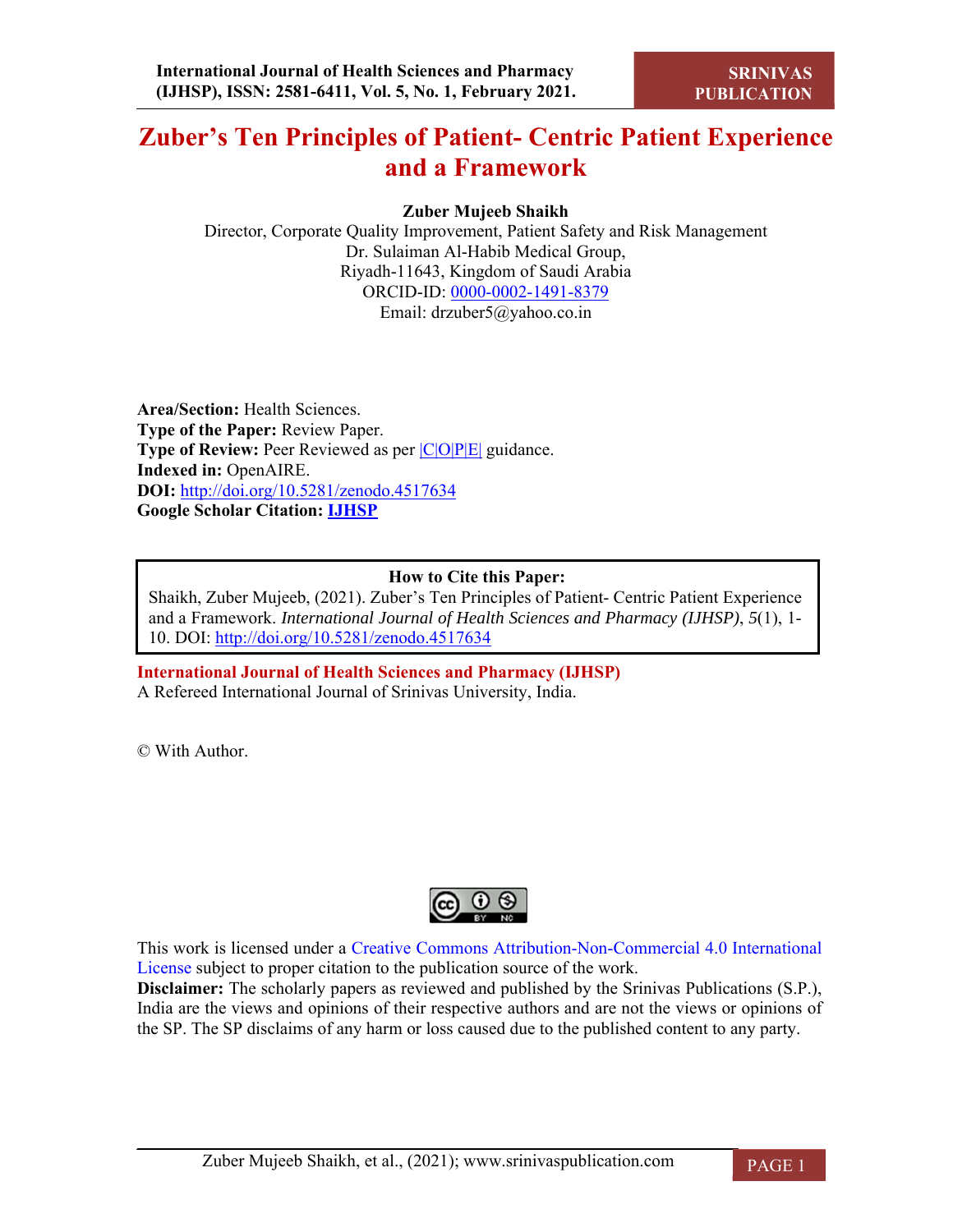# **Zuber's Ten Principles of Patient- Centric Patient Experience and a Framework**

# **Zuber Mujeeb Shaikh**

Director, Corporate Quality Improvement, Patient Safety and Risk Management Dr. Sulaiman Al-Habib Medical Group, Riyadh-11643, Kingdom of Saudi Arabia ORCID-ID: 0000-0002-1491-8379 Email: drzuber5@yahoo.co.in

**Area/Section:** Health Sciences. **Type of the Paper:** Review Paper. **Type of Review:** Peer Reviewed as per  $|C|O||P|E|$  guidance. **Indexed in:** OpenAIRE. **DOI:** http://doi.org/10.5281/zenodo.4517634 **Google Scholar Citation: IJHSP**

# **How to Cite this Paper:**

Shaikh, Zuber Mujeeb, (2021). Zuber's Ten Principles of Patient- Centric Patient Experience and a Framework. *International Journal of Health Sciences and Pharmacy (IJHSP)*, *5*(1), 1- 10. DOI: http://doi.org/10.5281/zenodo.4517634

**International Journal of Health Sciences and Pharmacy (IJHSP)** A Refereed International Journal of Srinivas University, India.

© With Author.



This work is licensed under a Creative Commons Attribution-Non-Commercial 4.0 International License subject to proper citation to the publication source of the work.

**Disclaimer:** The scholarly papers as reviewed and published by the Srinivas Publications (S.P.), India are the views and opinions of their respective authors and are not the views or opinions of the SP. The SP disclaims of any harm or loss caused due to the published content to any party.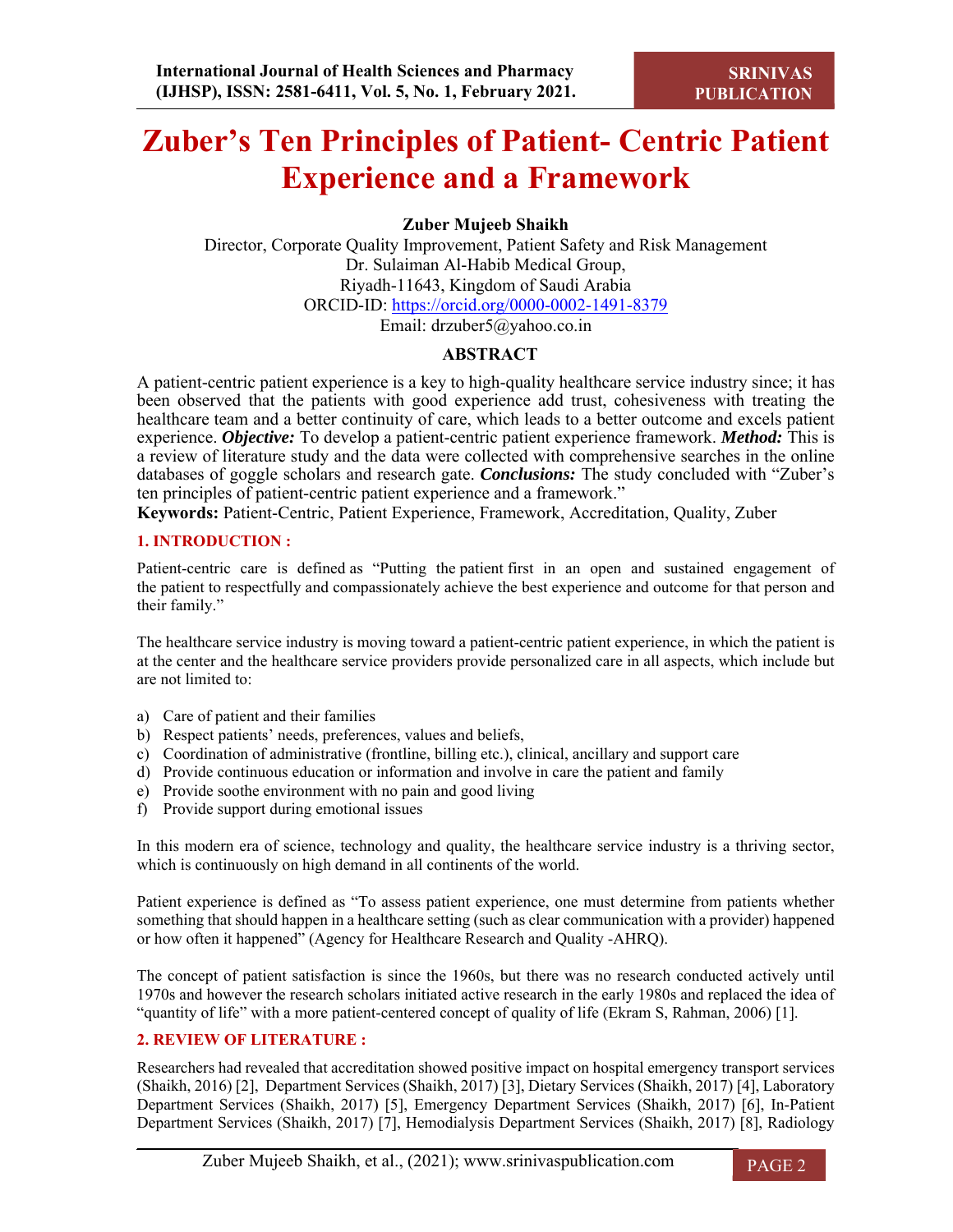# **Zuber's Ten Principles of Patient- Centric Patient Experience and a Framework**

**Zuber Mujeeb Shaikh**

Director, Corporate Quality Improvement, Patient Safety and Risk Management Dr. Sulaiman Al-Habib Medical Group, Riyadh-11643, Kingdom of Saudi Arabia ORCID-ID: https://orcid.org/0000-0002-1491-8379 Email: drzuber5@yahoo.co.in

# **ABSTRACT**

A patient-centric patient experience is a key to high-quality healthcare service industry since; it has been observed that the patients with good experience add trust, cohesiveness with treating the healthcare team and a better continuity of care, which leads to a better outcome and excels patient experience. *Objective:* To develop a patient-centric patient experience framework. *Method:* This is a review of literature study and the data were collected with comprehensive searches in the online databases of goggle scholars and research gate. *Conclusions:* The study concluded with "Zuber's ten principles of patient-centric patient experience and a framework."

**Keywords:** Patient-Centric, Patient Experience, Framework, Accreditation, Quality, Zuber

# **1. INTRODUCTION :**

Patient-centric care is defined as "Putting the patient first in an open and sustained engagement of the patient to respectfully and compassionately achieve the best experience and outcome for that person and their family."

The healthcare service industry is moving toward a patient-centric patient experience, in which the patient is at the center and the healthcare service providers provide personalized care in all aspects, which include but are not limited to:

- a) Care of patient and their families
- b) Respect patients' needs, preferences, values and beliefs,
- c) Coordination of administrative (frontline, billing etc.), clinical, ancillary and support care
- d) Provide continuous education or information and involve in care the patient and family
- e) Provide soothe environment with no pain and good living
- f) Provide support during emotional issues

In this modern era of science, technology and quality, the healthcare service industry is a thriving sector, which is continuously on high demand in all continents of the world.

Patient experience is defined as "To assess patient experience, one must determine from patients whether something that should happen in a healthcare setting (such as clear communication with a provider) happened or how often it happened" (Agency for Healthcare Research and Quality -AHRQ).

The concept of patient satisfaction is since the 1960s, but there was no research conducted actively until 1970s and however the research scholars initiated active research in the early 1980s and replaced the idea of "quantity of life" with a more patient-centered concept of quality of life (Ekram S, Rahman, 2006) [1].

# **2. REVIEW OF LITERATURE :**

Researchers had revealed that accreditation showed positive impact on hospital emergency transport services (Shaikh, 2016) [2], Department Services (Shaikh, 2017) [3], Dietary Services (Shaikh, 2017) [4], Laboratory Department Services (Shaikh, 2017) [5], Emergency Department Services (Shaikh, 2017) [6], In-Patient Department Services (Shaikh, 2017) [7], Hemodialysis Department Services (Shaikh, 2017) [8], Radiology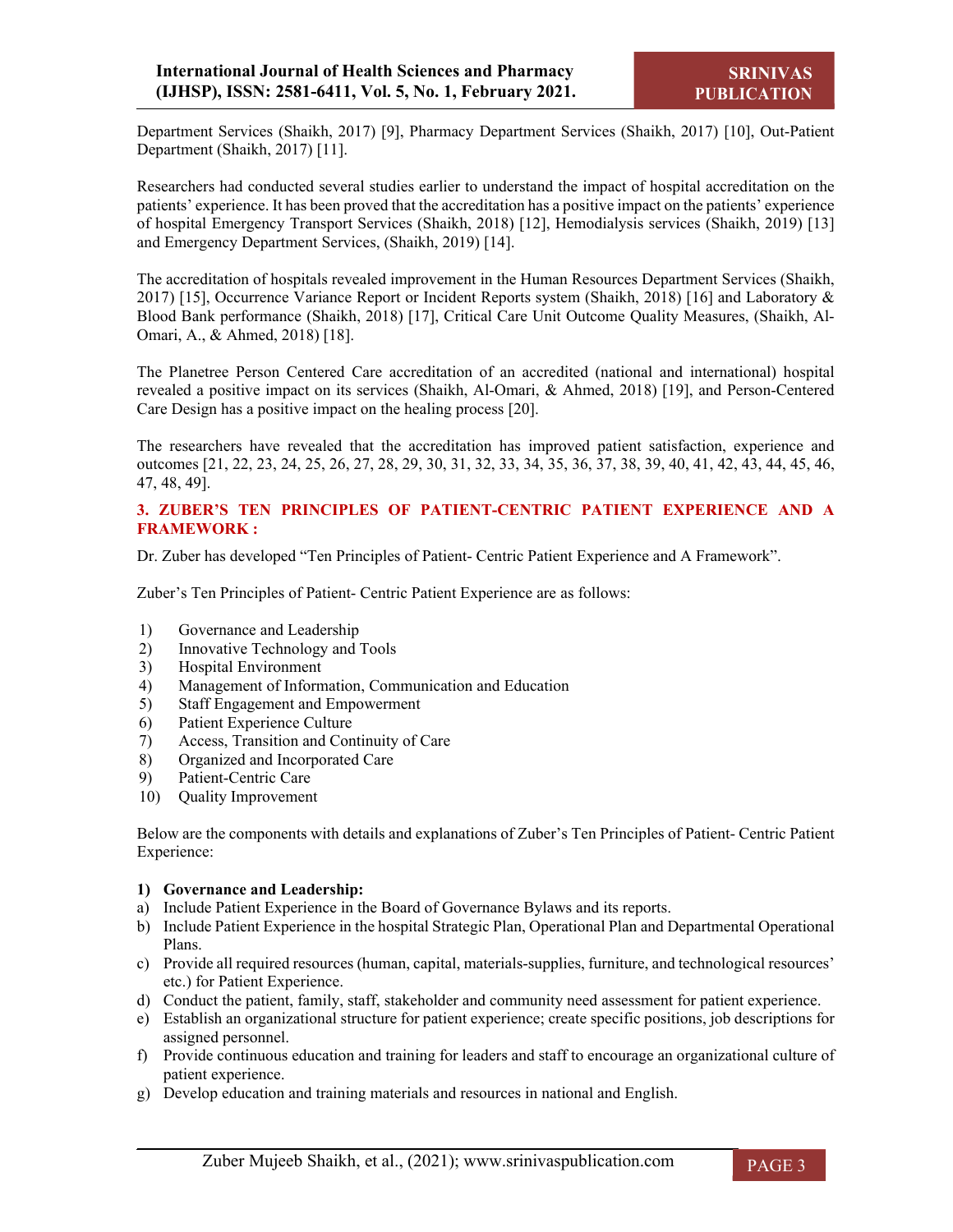Department Services (Shaikh, 2017) [9], Pharmacy Department Services (Shaikh, 2017) [10], Out-Patient Department (Shaikh, 2017) [11].

Researchers had conducted several studies earlier to understand the impact of hospital accreditation on the patients' experience. It has been proved that the accreditation has a positive impact on the patients' experience of hospital Emergency Transport Services (Shaikh, 2018) [12], Hemodialysis services (Shaikh, 2019) [13] and Emergency Department Services, (Shaikh, 2019) [14].

The accreditation of hospitals revealed improvement in the Human Resources Department Services (Shaikh, 2017) [15], Occurrence Variance Report or Incident Reports system (Shaikh, 2018) [16] and Laboratory & Blood Bank performance (Shaikh, 2018) [17], Critical Care Unit Outcome Quality Measures, (Shaikh, Al-Omari, A., & Ahmed, 2018) [18].

The Planetree Person Centered Care accreditation of an accredited (national and international) hospital revealed a positive impact on its services (Shaikh, Al-Omari, & Ahmed, 2018) [19], and Person-Centered Care Design has a positive impact on the healing process [20].

The researchers have revealed that the accreditation has improved patient satisfaction, experience and outcomes [21, 22, 23, 24, 25, 26, 27, 28, 29, 30, 31, 32, 33, 34, 35, 36, 37, 38, 39, 40, 41, 42, 43, 44, 45, 46, 47, 48, 49].

# **3. ZUBER'S TEN PRINCIPLES OF PATIENT-CENTRIC PATIENT EXPERIENCE AND A FRAMEWORK :**

Dr. Zuber has developed "Ten Principles of Patient- Centric Patient Experience and A Framework".

Zuber's Ten Principles of Patient- Centric Patient Experience are as follows:

- 1) Governance and Leadership
- 2) Innovative Technology and Tools
- 3) Hospital Environment
- 4) Management of Information, Communication and Education
- 5) Staff Engagement and Empowerment
- 6) Patient Experience Culture
- 7) Access, Transition and Continuity of Care
- 8) Organized and Incorporated Care
- 9) Patient-Centric Care
- 10) Quality Improvement

Below are the components with details and explanations of Zuber's Ten Principles of Patient- Centric Patient Experience:

#### **1) Governance and Leadership:**

- a) Include Patient Experience in the Board of Governance Bylaws and its reports.
- b) Include Patient Experience in the hospital Strategic Plan, Operational Plan and Departmental Operational Plans.
- c) Provide all required resources (human, capital, materials-supplies, furniture, and technological resources' etc.) for Patient Experience.
- d) Conduct the patient, family, staff, stakeholder and community need assessment for patient experience.
- e) Establish an organizational structure for patient experience; create specific positions, job descriptions for assigned personnel.
- f) Provide continuous education and training for leaders and staff to encourage an organizational culture of patient experience.
- g) Develop education and training materials and resources in national and English.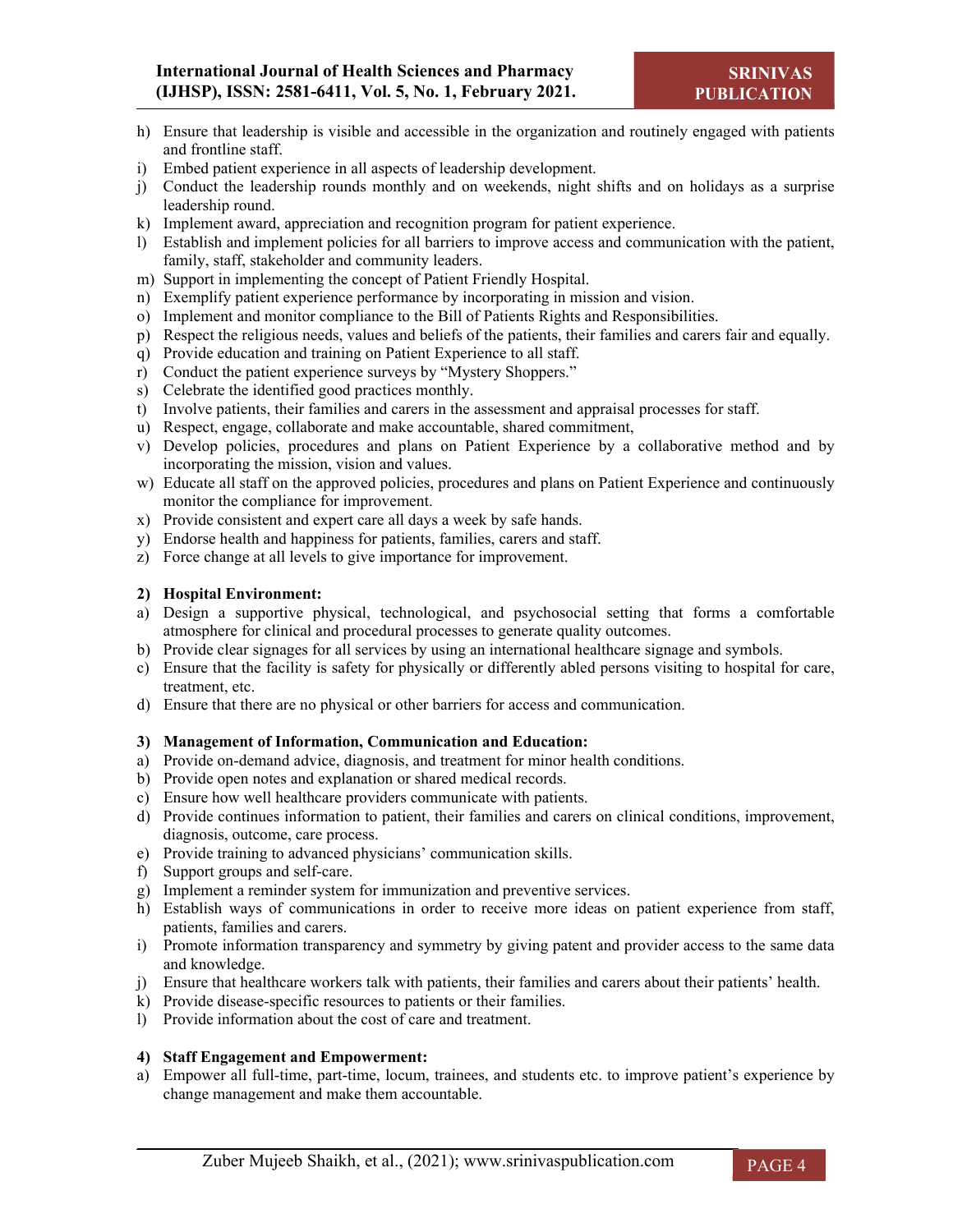- h) Ensure that leadership is visible and accessible in the organization and routinely engaged with patients and frontline staff.
- i) Embed patient experience in all aspects of leadership development.
- j) Conduct the leadership rounds monthly and on weekends, night shifts and on holidays as a surprise leadership round.
- k) Implement award, appreciation and recognition program for patient experience.
- l) Establish and implement policies for all barriers to improve access and communication with the patient, family, staff, stakeholder and community leaders.
- m) Support in implementing the concept of Patient Friendly Hospital.
- n) Exemplify patient experience performance by incorporating in mission and vision.
- o) Implement and monitor compliance to the Bill of Patients Rights and Responsibilities.
- p) Respect the religious needs, values and beliefs of the patients, their families and carers fair and equally.
- q) Provide education and training on Patient Experience to all staff.
- r) Conduct the patient experience surveys by "Mystery Shoppers."
- s) Celebrate the identified good practices monthly.
- t) Involve patients, their families and carers in the assessment and appraisal processes for staff.
- u) Respect, engage, collaborate and make accountable, shared commitment,
- v) Develop policies, procedures and plans on Patient Experience by a collaborative method and by incorporating the mission, vision and values.
- w) Educate all staff on the approved policies, procedures and plans on Patient Experience and continuously monitor the compliance for improvement.
- x) Provide consistent and expert care all days a week by safe hands.
- y) Endorse health and happiness for patients, families, carers and staff.
- z) Force change at all levels to give importance for improvement.

# **2) Hospital Environment:**

- a) Design a supportive physical, technological, and psychosocial setting that forms a comfortable atmosphere for clinical and procedural processes to generate quality outcomes.
- b) Provide clear signages for all services by using an international healthcare signage and symbols.
- c) Ensure that the facility is safety for physically or differently abled persons visiting to hospital for care, treatment, etc.
- d) Ensure that there are no physical or other barriers for access and communication.

#### **3) Management of Information, Communication and Education:**

- a) Provide on-demand advice, diagnosis, and treatment for minor health conditions.
- b) Provide open notes and explanation or shared medical records.
- c) Ensure how well healthcare providers communicate with patients.
- d) Provide continues information to patient, their families and carers on clinical conditions, improvement, diagnosis, outcome, care process.
- e) Provide training to advanced physicians' communication skills.
- f) Support groups and self-care.
- g) Implement a reminder system for immunization and preventive services.
- h) Establish ways of communications in order to receive more ideas on patient experience from staff, patients, families and carers.
- i) Promote information transparency and symmetry by giving patent and provider access to the same data and knowledge.
- j) Ensure that healthcare workers talk with patients, their families and carers about their patients' health.
- k) Provide disease-specific resources to patients or their families.
- l) Provide information about the cost of care and treatment.

#### **4) Staff Engagement and Empowerment:**

a) Empower all full-time, part-time, locum, trainees, and students etc. to improve patient's experience by change management and make them accountable.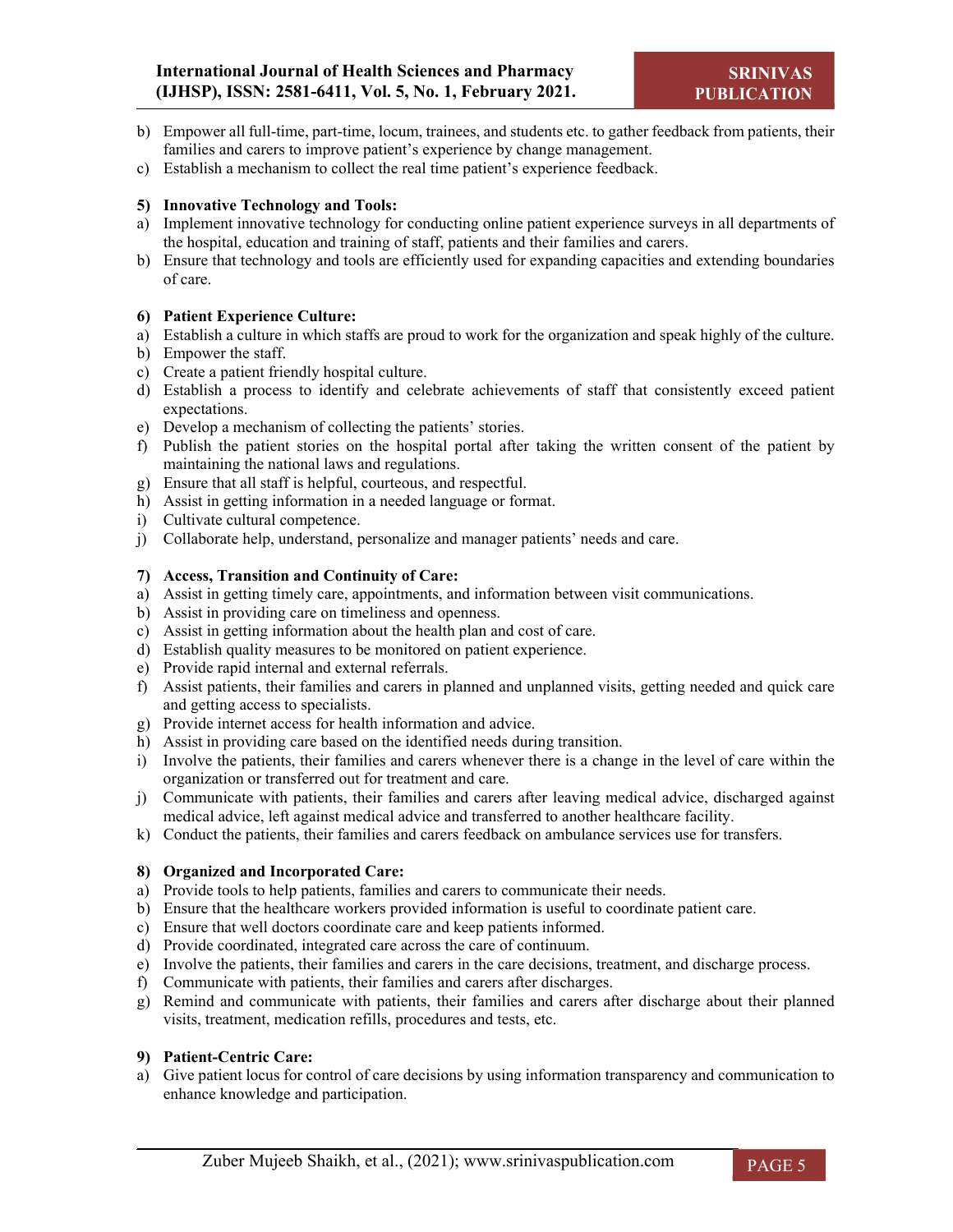- b) Empower all full-time, part-time, locum, trainees, and students etc. to gather feedback from patients, their families and carers to improve patient's experience by change management.
- c) Establish a mechanism to collect the real time patient's experience feedback.

# **5) Innovative Technology and Tools:**

- a) Implement innovative technology for conducting online patient experience surveys in all departments of the hospital, education and training of staff, patients and their families and carers.
- b) Ensure that technology and tools are efficiently used for expanding capacities and extending boundaries of care.

# **6) Patient Experience Culture:**

- a) Establish a culture in which staffs are proud to work for the organization and speak highly of the culture.
- b) Empower the staff.
- c) Create a patient friendly hospital culture.
- d) Establish a process to identify and celebrate achievements of staff that consistently exceed patient expectations.
- e) Develop a mechanism of collecting the patients' stories.
- f) Publish the patient stories on the hospital portal after taking the written consent of the patient by maintaining the national laws and regulations.
- g) Ensure that all staff is helpful, courteous, and respectful.
- h) Assist in getting information in a needed language or format.
- i) Cultivate cultural competence.
- j) Collaborate help, understand, personalize and manager patients' needs and care.

# **7) Access, Transition and Continuity of Care:**

- a) Assist in getting timely care, appointments, and information between visit communications.
- b) Assist in providing care on timeliness and openness.
- c) Assist in getting information about the health plan and cost of care.
- d) Establish quality measures to be monitored on patient experience.
- e) Provide rapid internal and external referrals.
- f) Assist patients, their families and carers in planned and unplanned visits, getting needed and quick care and getting access to specialists.
- g) Provide internet access for health information and advice.
- h) Assist in providing care based on the identified needs during transition.
- i) Involve the patients, their families and carers whenever there is a change in the level of care within the organization or transferred out for treatment and care.
- j) Communicate with patients, their families and carers after leaving medical advice, discharged against medical advice, left against medical advice and transferred to another healthcare facility.
- k) Conduct the patients, their families and carers feedback on ambulance services use for transfers.

# **8) Organized and Incorporated Care:**

- a) Provide tools to help patients, families and carers to communicate their needs.
- b) Ensure that the healthcare workers provided information is useful to coordinate patient care.
- c) Ensure that well doctors coordinate care and keep patients informed.
- d) Provide coordinated, integrated care across the care of continuum.
- e) Involve the patients, their families and carers in the care decisions, treatment, and discharge process.
- f) Communicate with patients, their families and carers after discharges.
- g) Remind and communicate with patients, their families and carers after discharge about their planned visits, treatment, medication refills, procedures and tests, etc.

#### **9) Patient-Centric Care:**

a) Give patient locus for control of care decisions by using information transparency and communication to enhance knowledge and participation.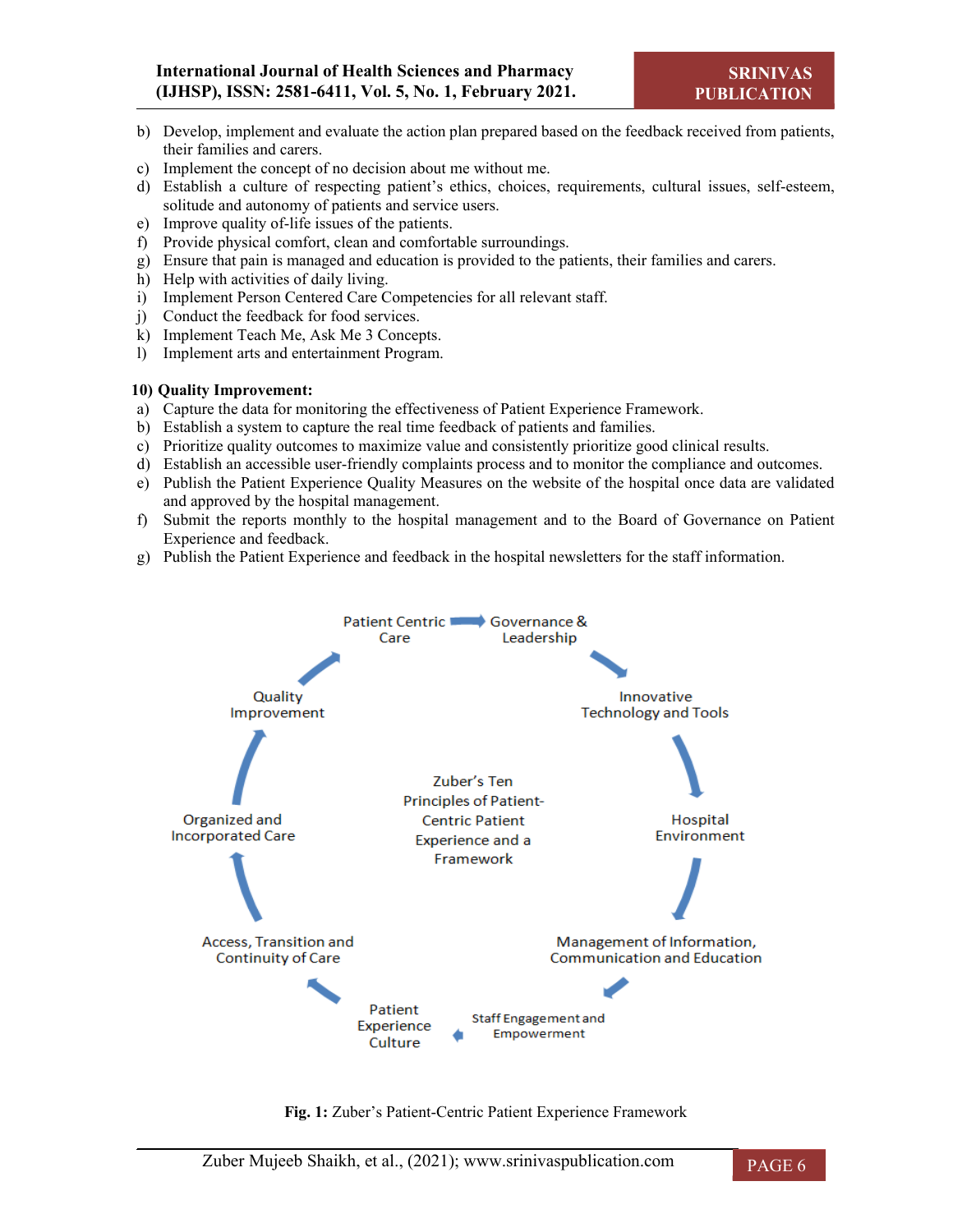- b) Develop, implement and evaluate the action plan prepared based on the feedback received from patients, their families and carers.
- c) Implement the concept of no decision about me without me.
- d) Establish a culture of respecting patient's ethics, choices, requirements, cultural issues, self-esteem, solitude and autonomy of patients and service users.
- e) Improve quality of-life issues of the patients.
- f) Provide physical comfort, clean and comfortable surroundings.
- g) Ensure that pain is managed and education is provided to the patients, their families and carers.
- h) Help with activities of daily living.
- i) Implement Person Centered Care Competencies for all relevant staff.
- j) Conduct the feedback for food services.
- k) Implement Teach Me, Ask Me 3 Concepts.
- l) Implement arts and entertainment Program.

# **10) Quality Improvement:**

- a) Capture the data for monitoring the effectiveness of Patient Experience Framework.
- b) Establish a system to capture the real time feedback of patients and families.
- c) Prioritize quality outcomes to maximize value and consistently prioritize good clinical results.
- d) Establish an accessible user-friendly complaints process and to monitor the compliance and outcomes.
- e) Publish the Patient Experience Quality Measures on the website of the hospital once data are validated and approved by the hospital management.
- f) Submit the reports monthly to the hospital management and to the Board of Governance on Patient Experience and feedback.
- g) Publish the Patient Experience and feedback in the hospital newsletters for the staff information.



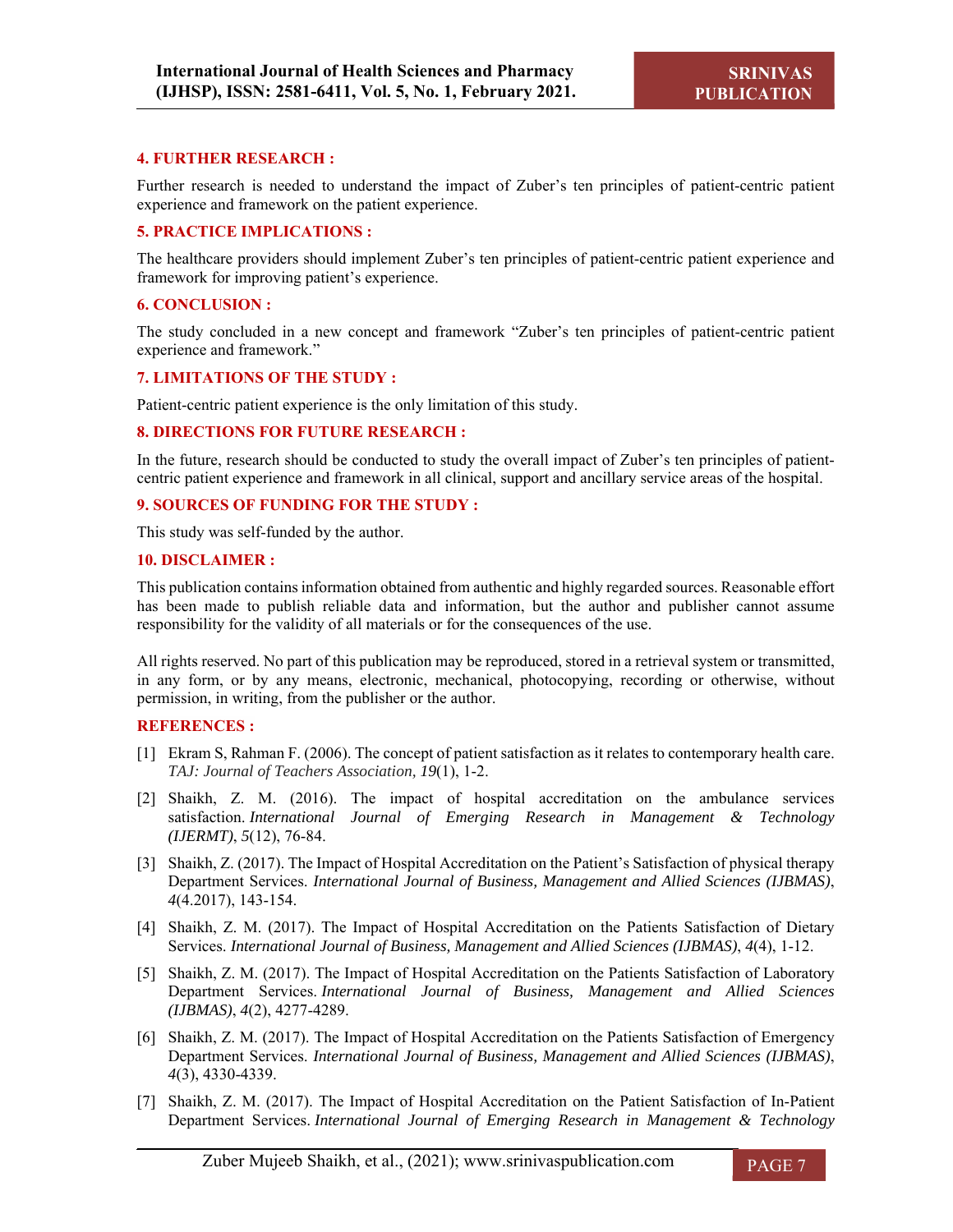# **4. FURTHER RESEARCH :**

Further research is needed to understand the impact of Zuber's ten principles of patient-centric patient experience and framework on the patient experience.

#### **5. PRACTICE IMPLICATIONS :**

The healthcare providers should implement Zuber's ten principles of patient-centric patient experience and framework for improving patient's experience.

#### **6. CONCLUSION :**

The study concluded in a new concept and framework "Zuber's ten principles of patient-centric patient experience and framework."

#### **7. LIMITATIONS OF THE STUDY :**

Patient-centric patient experience is the only limitation of this study.

#### **8. DIRECTIONS FOR FUTURE RESEARCH :**

In the future, research should be conducted to study the overall impact of Zuber's ten principles of patientcentric patient experience and framework in all clinical, support and ancillary service areas of the hospital.

#### **9. SOURCES OF FUNDING FOR THE STUDY :**

This study was self-funded by the author.

#### **10. DISCLAIMER :**

This publication contains information obtained from authentic and highly regarded sources. Reasonable effort has been made to publish reliable data and information, but the author and publisher cannot assume responsibility for the validity of all materials or for the consequences of the use.

All rights reserved. No part of this publication may be reproduced, stored in a retrieval system or transmitted, in any form, or by any means, electronic, mechanical, photocopying, recording or otherwise, without permission, in writing, from the publisher or the author.

#### **REFERENCES :**

- [1] Ekram S, Rahman F. (2006). The concept of patient satisfaction as it relates to contemporary health care. *TAJ: Journal of Teachers Association, 19*(1), 1-2.
- [2] Shaikh, Z. M. (2016). The impact of hospital accreditation on the ambulance services satisfaction. *International Journal of Emerging Research in Management & Technology (IJERMT)*, *5*(12), 76-84.
- [3] Shaikh, Z. (2017). The Impact of Hospital Accreditation on the Patient's Satisfaction of physical therapy Department Services. *International Journal of Business, Management and Allied Sciences (IJBMAS)*, *4*(4.2017), 143-154.
- [4] Shaikh, Z. M. (2017). The Impact of Hospital Accreditation on the Patients Satisfaction of Dietary Services. *International Journal of Business, Management and Allied Sciences (IJBMAS)*, *4*(4), 1-12.
- [5] Shaikh, Z. M. (2017). The Impact of Hospital Accreditation on the Patients Satisfaction of Laboratory Department Services. *International Journal of Business, Management and Allied Sciences (IJBMAS)*, *4*(2), 4277-4289.
- [6] Shaikh, Z. M. (2017). The Impact of Hospital Accreditation on the Patients Satisfaction of Emergency Department Services. *International Journal of Business, Management and Allied Sciences (IJBMAS)*, *4*(3), 4330-4339.
- [7] Shaikh, Z. M. (2017). The Impact of Hospital Accreditation on the Patient Satisfaction of In-Patient Department Services. *International Journal of Emerging Research in Management & Technology*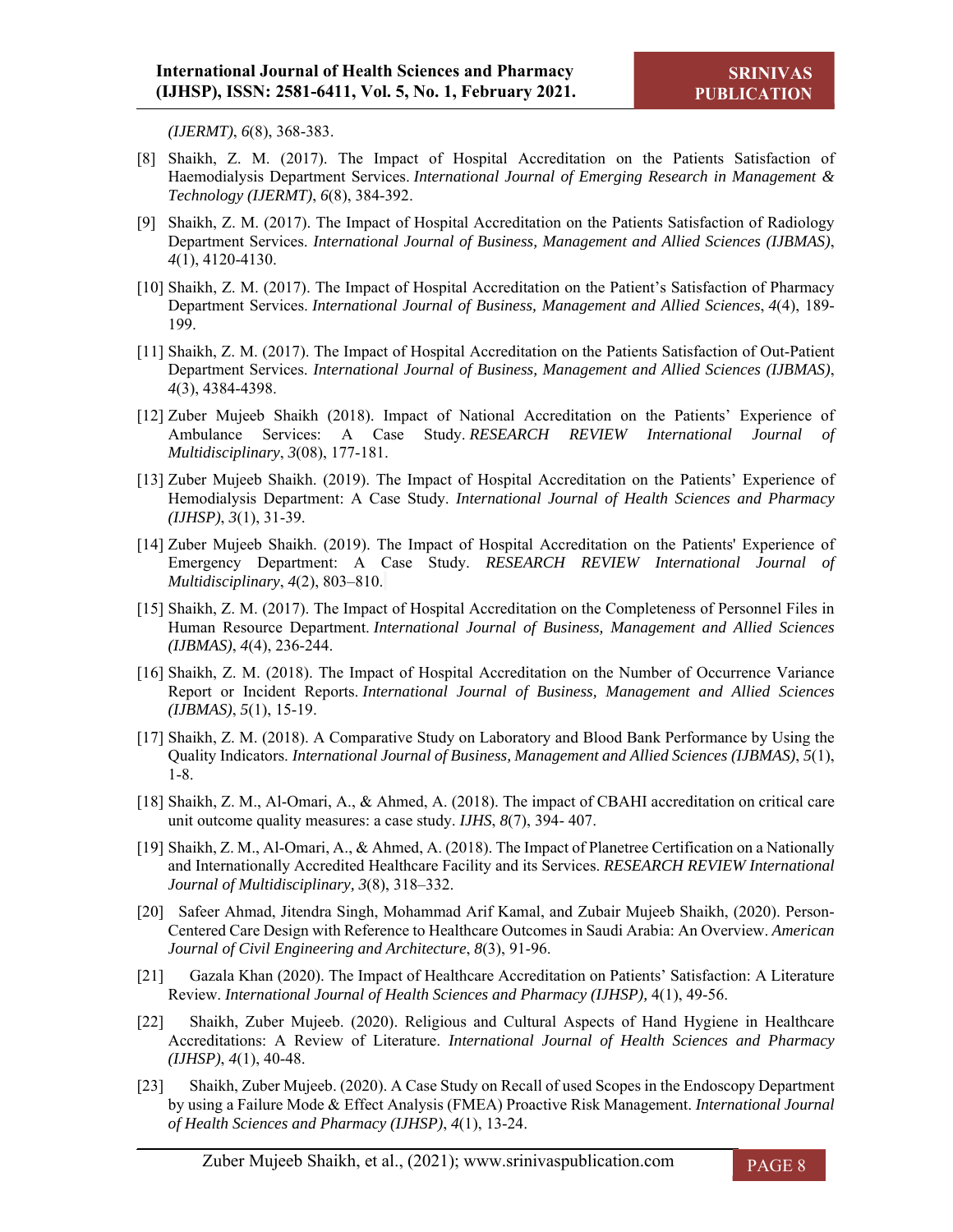*(IJERMT)*, *6*(8), 368-383.

- [8] Shaikh, Z. M. (2017). The Impact of Hospital Accreditation on the Patients Satisfaction of Haemodialysis Department Services. *International Journal of Emerging Research in Management & Technology (IJERMT)*, *6*(8), 384-392.
- [9] Shaikh, Z. M. (2017). The Impact of Hospital Accreditation on the Patients Satisfaction of Radiology Department Services. *International Journal of Business, Management and Allied Sciences (IJBMAS)*, *4*(1), 4120-4130.
- [10] Shaikh, Z. M. (2017). The Impact of Hospital Accreditation on the Patient's Satisfaction of Pharmacy Department Services. *International Journal of Business, Management and Allied Sciences*, *4*(4), 189- 199.
- [11] Shaikh, Z. M. (2017). The Impact of Hospital Accreditation on the Patients Satisfaction of Out-Patient Department Services. *International Journal of Business, Management and Allied Sciences (IJBMAS)*, *4*(3), 4384-4398.
- [12] Zuber Mujeeb Shaikh (2018). Impact of National Accreditation on the Patients' Experience of Ambulance Services: A Case Study. *RESEARCH REVIEW International Journal of Multidisciplinary*, *3*(08), 177-181.
- [13] Zuber Mujeeb Shaikh. (2019). The Impact of Hospital Accreditation on the Patients' Experience of Hemodialysis Department: A Case Study. *International Journal of Health Sciences and Pharmacy (IJHSP)*, *3*(1), 31-39.
- [14] Zuber Mujeeb Shaikh. (2019). The Impact of Hospital Accreditation on the Patients' Experience of Emergency Department: A Case Study. *RESEARCH REVIEW International Journal of Multidisciplinary*, *4*(2), 803–810.
- [15] Shaikh, Z. M. (2017). The Impact of Hospital Accreditation on the Completeness of Personnel Files in Human Resource Department. *International Journal of Business, Management and Allied Sciences (IJBMAS)*, *4*(4), 236-244.
- [16] Shaikh, Z. M. (2018). The Impact of Hospital Accreditation on the Number of Occurrence Variance Report or Incident Reports. *International Journal of Business, Management and Allied Sciences (IJBMAS)*, *5*(1), 15-19.
- [17] Shaikh, Z. M. (2018). A Comparative Study on Laboratory and Blood Bank Performance by Using the Quality Indicators. *International Journal of Business, Management and Allied Sciences (IJBMAS)*, *5*(1), 1-8.
- [18] Shaikh, Z. M., Al-Omari, A., & Ahmed, A. (2018). The impact of CBAHI accreditation on critical care unit outcome quality measures: a case study. *IJHS*, *8*(7), 394- 407.
- [19] Shaikh, Z. M., Al-Omari, A., & Ahmed, A. (2018). The Impact of Planetree Certification on a Nationally and Internationally Accredited Healthcare Facility and its Services. *RESEARCH REVIEW International Journal of Multidisciplinary, 3*(8), 318–332.
- [20] Safeer Ahmad, Jitendra Singh, Mohammad Arif Kamal, and Zubair Mujeeb Shaikh, (2020). Person-Centered Care Design with Reference to Healthcare Outcomes in Saudi Arabia: An Overview. *American Journal of Civil Engineering and Architecture*, *8*(3), 91-96.
- [21] Gazala Khan (2020). The Impact of Healthcare Accreditation on Patients' Satisfaction: A Literature Review. *International Journal of Health Sciences and Pharmacy (IJHSP),* 4(1), 49-56.
- [22] Shaikh, Zuber Mujeeb. (2020). Religious and Cultural Aspects of Hand Hygiene in Healthcare Accreditations: A Review of Literature. *International Journal of Health Sciences and Pharmacy (IJHSP)*, *4*(1), 40-48.
- [23] Shaikh, Zuber Mujeeb. (2020). A Case Study on Recall of used Scopes in the Endoscopy Department by using a Failure Mode & Effect Analysis (FMEA) Proactive Risk Management. *International Journal of Health Sciences and Pharmacy (IJHSP)*, *4*(1), 13-24.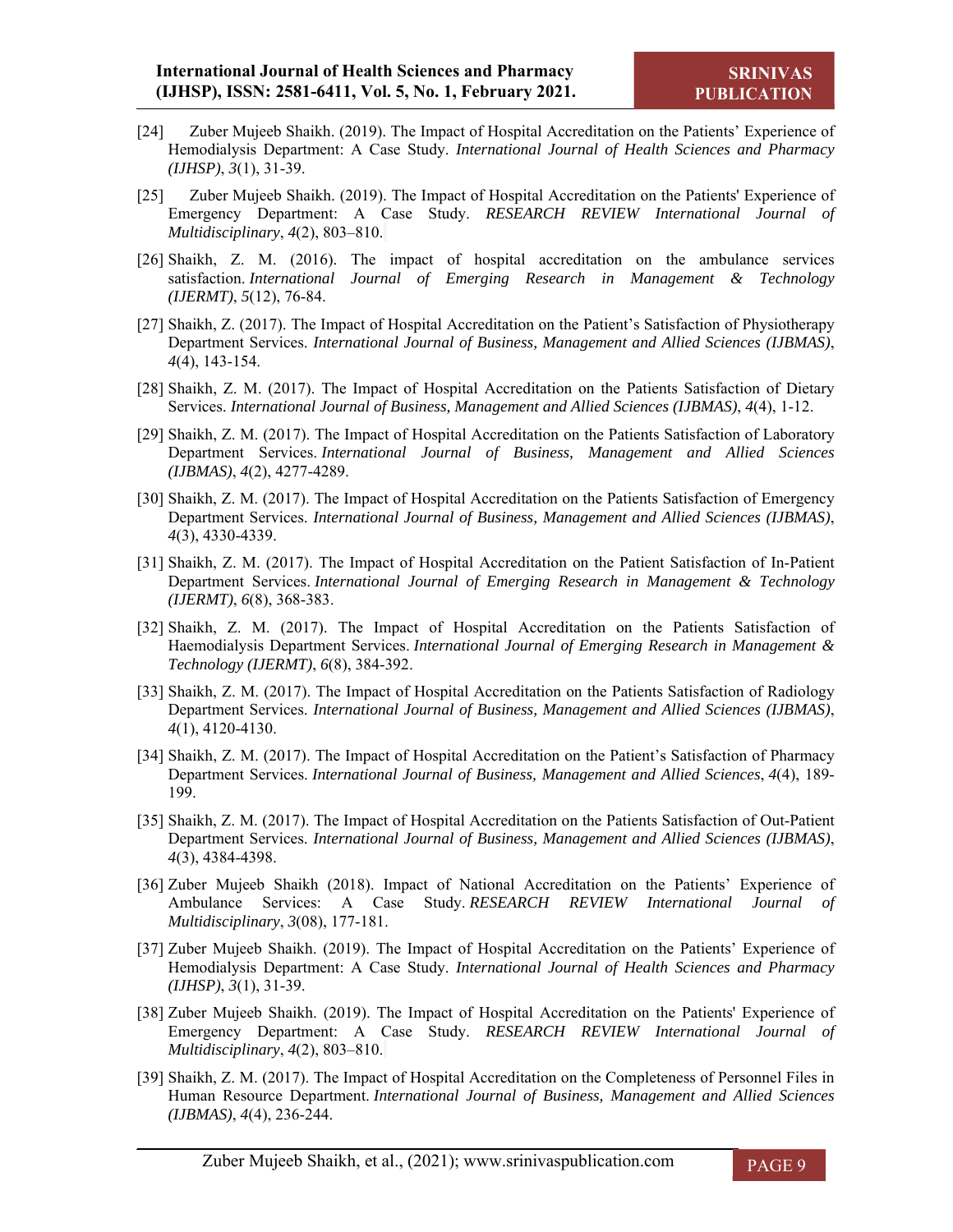- [24] Zuber Mujeeb Shaikh. (2019). The Impact of Hospital Accreditation on the Patients' Experience of Hemodialysis Department: A Case Study. *International Journal of Health Sciences and Pharmacy (IJHSP)*, *3*(1), 31-39.
- [25] Zuber Mujeeb Shaikh. (2019). The Impact of Hospital Accreditation on the Patients' Experience of Emergency Department: A Case Study. *RESEARCH REVIEW International Journal of Multidisciplinary*, *4*(2), 803–810.
- [26] Shaikh, Z. M. (2016). The impact of hospital accreditation on the ambulance services satisfaction. *International Journal of Emerging Research in Management & Technology (IJERMT)*, *5*(12), 76-84.
- [27] Shaikh, Z. (2017). The Impact of Hospital Accreditation on the Patient's Satisfaction of Physiotherapy Department Services. *International Journal of Business, Management and Allied Sciences (IJBMAS)*, *4*(4), 143-154.
- [28] Shaikh, Z. M. (2017). The Impact of Hospital Accreditation on the Patients Satisfaction of Dietary Services. *International Journal of Business, Management and Allied Sciences (IJBMAS)*, *4*(4), 1-12.
- [29] Shaikh, Z. M. (2017). The Impact of Hospital Accreditation on the Patients Satisfaction of Laboratory Department Services. *International Journal of Business, Management and Allied Sciences (IJBMAS)*, *4*(2), 4277-4289.
- [30] Shaikh, Z. M. (2017). The Impact of Hospital Accreditation on the Patients Satisfaction of Emergency Department Services. *International Journal of Business, Management and Allied Sciences (IJBMAS)*, *4*(3), 4330-4339.
- [31] Shaikh, Z. M. (2017). The Impact of Hospital Accreditation on the Patient Satisfaction of In-Patient Department Services. *International Journal of Emerging Research in Management & Technology (IJERMT)*, *6*(8), 368-383.
- [32] Shaikh, Z. M. (2017). The Impact of Hospital Accreditation on the Patients Satisfaction of Haemodialysis Department Services. *International Journal of Emerging Research in Management & Technology (IJERMT)*, *6*(8), 384-392.
- [33] Shaikh, Z. M. (2017). The Impact of Hospital Accreditation on the Patients Satisfaction of Radiology Department Services. *International Journal of Business, Management and Allied Sciences (IJBMAS)*, *4*(1), 4120-4130.
- [34] Shaikh, Z. M. (2017). The Impact of Hospital Accreditation on the Patient's Satisfaction of Pharmacy Department Services. *International Journal of Business, Management and Allied Sciences*, *4*(4), 189- 199.
- [35] Shaikh, Z. M. (2017). The Impact of Hospital Accreditation on the Patients Satisfaction of Out-Patient Department Services. *International Journal of Business, Management and Allied Sciences (IJBMAS)*, *4*(3), 4384-4398.
- [36] Zuber Mujeeb Shaikh (2018). Impact of National Accreditation on the Patients' Experience of Ambulance Services: A Case Study. *RESEARCH REVIEW International Journal of Multidisciplinary*, *3*(08), 177-181.
- [37] Zuber Mujeeb Shaikh. (2019). The Impact of Hospital Accreditation on the Patients' Experience of Hemodialysis Department: A Case Study. *International Journal of Health Sciences and Pharmacy (IJHSP)*, *3*(1), 31-39.
- [38] Zuber Mujeeb Shaikh. (2019). The Impact of Hospital Accreditation on the Patients' Experience of Emergency Department: A Case Study. *RESEARCH REVIEW International Journal of Multidisciplinary*, *4*(2), 803–810.
- [39] Shaikh, Z. M. (2017). The Impact of Hospital Accreditation on the Completeness of Personnel Files in Human Resource Department. *International Journal of Business, Management and Allied Sciences (IJBMAS)*, *4*(4), 236-244.